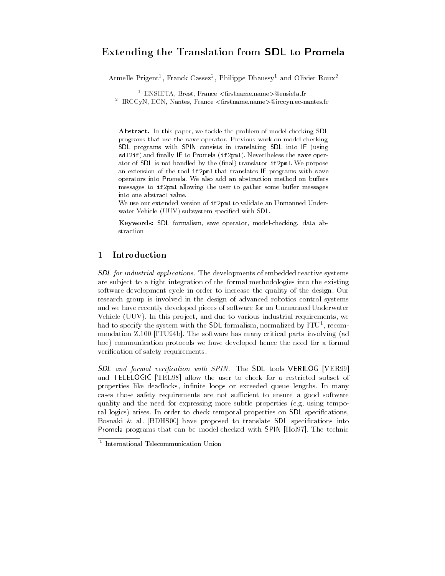# Extending the Translation from SDL to Promela

Armelie Prigent", Franck Cassez", Philippe Dhaussy" and Olivier Roux<sup>2</sup>

⊺ ENSIETA, Brest, France <nrstname.name>@ensieta.fr

- IRCCyN, ECN, Nantes, France <firstname.name>@irccyn.ec-nantes.fr

Abstract. In this paper, we tackle the problem of model-checking SDL programs that use the save operator. Previous work on model-checking SDL programs with SPIN consists in translating SDL into IF (using sdl2if) and finally IF to Promela (if2pml). Nevertheless the save operator of SDL is not handled by the (final) translator if 2pml. We propose an extension of the tool if2pml that translates IF programs with save operators into Promela. We also add an abstraction method on buffers messages to if2pml allowing the user to gather some buffer messages into one abstract value.

We use our extended version of if2pml to validate an Unmanned Under water Vehicle (UUV) subsystem specified with SDL.

Keywords: SDL formalism, save operator, model-checking, data abstraction

#### $\mathbf{1}$ 1 Introduction

SDL for industrial applications. The developments of embedded reactive systems are subject to a tight integration of the formal methodologies into the existing software development cycle in order to increase the quality of the design. Our research group is involved in the design of advanced robotics control systems and we have recently developed pieces of software for an Unmanned Underwater Vehicle (UUV). In this project, and due to various industrial requirements, we  $\max$  to specify the system with the SDL formalism, normalized by ITU+, recommendation Z.100 [ITU94b]. The software has many critical parts involving (ad hoc) communication protocols we have developed hence the need for a formal verification of safety requirements.

SDL and formal verification with SPIN. The SDL tools VERILOG [VER99] and TELELOGIC [TEL98] allow the user to check for a restricted subset of properties like deadlocks, infinite loops or exceeded queue lengths. In many cases those safety requirements are not sufficient to ensure a good software quality and the need for expressing more subtle properties (e.g. using temporal logics) arises. In order to check temporal properties on SDL specifications, Bosnaki & al. [BDHS00] have proposed to translate  $SDL$  specifications into Promela programs that can be model-checked with SPIN [Hol97]. The technic

<sup>1</sup> International Telecommunication Union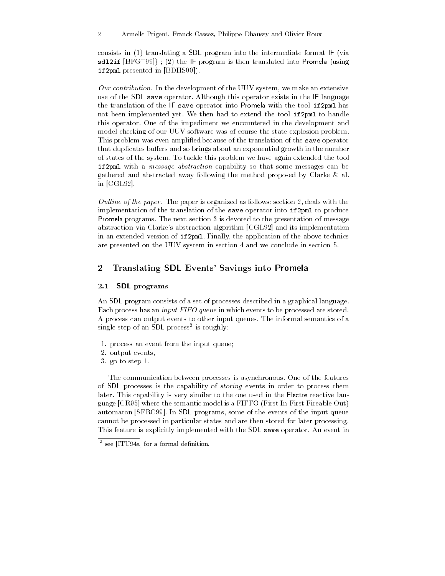consists in (1) translating a SDL program into the intermediate format IF (via sdl2if [BFG+ 99]) ; (2) the IF program is then translated into Promela (using if2pml presented in [BDHS00]).

Our contribution. In the development of the UUV system, we make an extensive use of the SDL save operator. Although this operator exists in the IF language the translation of the IF save operator into Promela with the tool if2pml has not been implemented yet. We then had to extend the tool if2pml to handle this operator. One of the impediment we encountered in the development and model-checking of our UUV software was of course the state-explosion problem. This problem was even amplified because of the translation of the save operator that duplicates buffers and so brings about an exponential growth in the number of states of the system. To tackle this problem we have again extended the tool if2pml with a message abstraction capability so that some messages can be gathered and abstracted away following the method proposed by Clarke & al. in [CGL92].

Outline of the paper. The paper is organized as follows: section 2, deals with the implementation of the translation of the save operator into if2pml to produce Promela programs. The next section 3 is devoted to the presentation of message abstraction via Clarke's abstraction algorithm [CGL92] and its implementation in an extended version of if2pml. Finally, the application of the above technics are presented on the UUV system in section 4 and we conclude in section 5.

# 2 Translating SDL Events' Savings into Promela

#### 2.1 SDL programs

An SDL program consists of a set of processes described in a graphical language. Each process has an input FIFO queue in which events to be processed are stored. A process can output events to other input queues. The informal semantics of a single step of an SDL process<sup>2</sup> is roughly:

- 1. process an event from the input queue;
- 2. output events,
- 3. go to step 1.

The communication between processes is asynchronous. One of the features of SDL processes is the capability of storing events in order to process them later. This capability is very similar to the one used in the Electre reactive language [CR95] where the semantic model is a FIFFO (First In First Fireable Out) automaton [SFRC99]. In SDL programs, some of the events of the input queue cannot be processed in particular states and are then stored for later processing. This feature is explicitly implemented with the SDL save operator. An event in

<sup>2</sup> see [ITU94a] for a formal denition.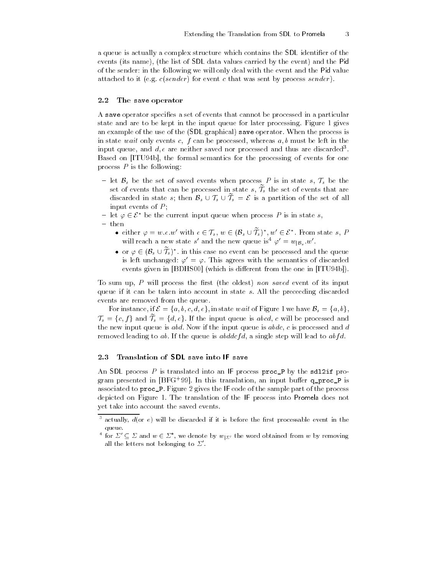a queue is actually a complex structure which contains the SDL identifier of the events (its name), (the list of SDL data values carried by the event) and the Pid of the sender: in the following we will only deal with the event and the Pid value attached to it (e.g.  $c(sender)$  for event c that was sent by process sender).

### 2.2 The save operator

A save operator specifies a set of events that cannot be processed in a particular state and are to be kept in the input queue for later processing. Figure 1 gives an example of the use of the (SDL graphical) save operator. When the process is in state wait only events c,  $f$  can be processed, whereas  $a, b$  must be left in the input queue, and  $a, e$  are neither saved nor processed and thus are discarded .  $\overline{a}$ Based on [ITU94b], the formal semantics for the processing of events for one process  $P$  is the following:

- let  $\mathcal{B}_s$  be the set of saved events when process P is in state s,  $\mathcal{T}_s$  be the set of events that can be processed in state  $s, \mathcal{T}_s$  the set of events that are discarded in state s; then  $\mathcal{B}_s \cup \mathcal{T}_s \cup \mathcal{T}_s = \mathcal{E}$  is a partition of the set of all input events of  $P$ ;
- let  $\varphi \in \mathcal{E}^*$  be the current input queue when process P is in state s,

— then

- either  $\varphi = w.e.w'$  with  $e \in \mathcal{T}_s$ ,  $w \in (\mathcal{B}_s \cup \widetilde{\mathcal{T}}_s)^*$ ,  $w' \in \mathcal{E}^*$ . From state s, P will reach a new state s and the new queue is  $\varphi = w_{|{\mathcal B}_s} w$ .
	- or  $\varphi \in (\mathcal{B}_s \cup \mathcal{T}_s)^*$  in this case no event can be processed and the queue is left unchanged:  $\varphi' = \varphi$ . This agrees with the semantics of discarded events given in [BDHS00] (which is different from the one in [ITU94b]).

To sum up,  $P$  will process the first (the oldest) non saved event of its input queue if it can be taken into account in state s. All the preceeding discarded events are removed from the queue.

For instance, if  $\mathcal{E} = \{a, b, c, d, e\}$ , in state wait of Figure 1 we have  $\mathcal{B}_s = \{a, b\}$ ,  $\mathcal{T}_s = \{c, f\}$  and  $\mathcal{T}_s = \{d, e\}$ . If the input queue is abcd, c will be processed and the new input queue is  $abd$ . Now if the input queue is  $abdc$ , c is processed and d removed leading to ab. If the queue is  $ab \, dd \, c \, f d$ , a single step will lead to  $ab \, f d$ .

## 2.3 Translation of SDL save into IF save

An SDL process  $P$  is translated into an IF process  $proc_P$  by the sdl2if program presented in [BFG+99]. In this translation, an input builer **q\_proc\_r** is associated to proc\_P. Figure 2 gives the IF code of the sample part of the process depicted on Figure 1. The translation of the IF process into Promela does not yet take into account the saved events.

 $^{\circ}$  actually,  $a$ (or  $e$ ) will be discarded if it is before the first processable event in the queue.

For  $\Delta \subseteq \Delta$  and  $w \in \Delta$  , we denote by  $w_{\{\Sigma\}'}$  the word obtained from w by removing all the letters not belonging to  $\Sigma'$ .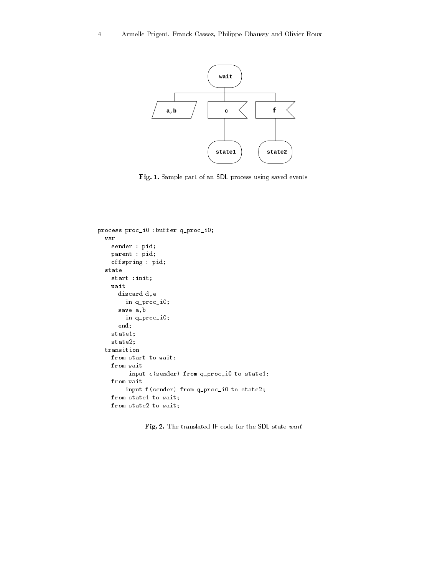

Fig. 1. Sample part of an SDL process using saved events

```
process proc_i0 :buffer q_proc_i0;
  var
    sender : pid;
    parent : pid;
    offspring : pid;
  state
    start :init;
    wait
      discard d,e
        in q_proc_i0;
      save a,b
        in q_proc_i0;
      end;
    state1;
    state2;
  transition
    from start to wait;
    from wait
         input c(sender) from q_proc_i0 to state1;
    from wait
        input f(sender) from q_proc_i0 to state2;
    from state1 to wait;
    from state2 to wait;
```
Fig. 2. The translated IF code for the SDL state wait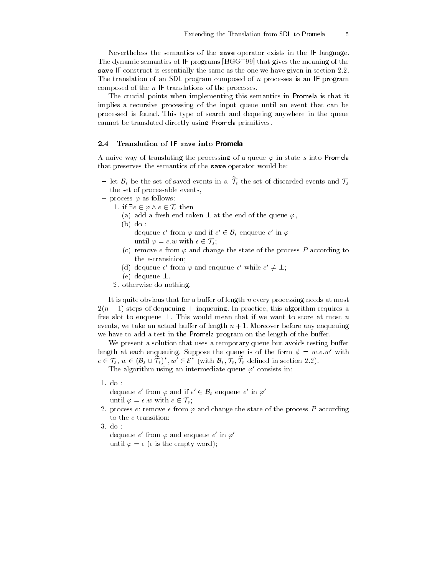Nevertheless the semantics of the save operator exists in the IF language. The dynamic semantics of IF programs [BGG+ 99] that gives the meaning of the save IF construct is essentially the same as the one we have given in section 2.2. The translation of an SDL program composed of n processes is an IF program composed of the  $n$  IF translations of the processes.

The crucial points when implementing this semantics in Promela is that it implies a recursive processing of the input queue until an event that can be processed is found. This type of search and dequeing anywhere in the queue cannot be translated directly using Promela primitives.

### 2.4 Translation of IF save into Promela

A naive way of translating the processing of a queue  $\varphi$  in state s into Promela that preserves the semantics of the save operator would be:

- let  $\mathcal{B}_s$  be the set of saved events in s,  $\mathcal{T}_s$  the set of discarded events and  $\mathcal{T}_s$ the set of processable events,
- process  $\varphi$  as follows:
	- 1. if  $\exists e \in \varphi \land e \in \mathcal{T}_s$  then
		- (a) add a fresh end token  $\perp$  at the end of the queue  $\varphi$ ,
		- (b) do :

dequeue  $e'$  from  $\varphi$  and if  $e' \in \mathcal{B}_s$  enqueue  $e'$  in  $\varphi$ 

- until  $\varphi = e \cdot w$  with  $e \in \mathcal{T}_s$ ;
- (c) remove e from  $\varphi$  and change the state of the process P according to the e-transition;
- (d) dequeue e' from  $\varphi$  and enqueue e' while  $e' \neq \bot$ ;
- (e) dequeue  $\perp$ .
- 2. otherwise do nothing.

It is quite obvious that for a buffer of length  $n$  every processing needs at most  $2(n + 1)$  steps of dequeuing + inqueuing. In practice, this algorithm requires a free slot to enqueue  $\perp$ . This would mean that if we want to store at most n events, we take an actual buffer of length  $n + 1$ . Moreover before any enqueuing we have to add a test in the Promela program on the length of the buffer.

We present a solution that uses a temporary queue but avoids testing buffer length at each enqueuing. Suppose the queue is of the form  $\phi = w.e.w'$  with  $e \in \mathcal{T}_s, w \in (\mathcal{B}_s \cup \mathcal{T}_s)^*, w' \in \mathcal{E}^*$  (with  $\mathcal{B}_s, \mathcal{T}_s, \mathcal{T}_s$  defined in section 2.2).

The algorithm using an intermediate queue  $\varphi'$  consists in:

1. do :

dequeue  $e'$  from  $\varphi$  and if  $e' \in {\cal B}_s$  enqueue  $e'$  in  $\varphi'$ until  $\varphi = e.w$  with  $e \in \mathcal{T}_s$ ;

- 2. process  $e$ : remove  $e$  from  $\varphi$  and change the state of the process P according to the e-transition;
- 3. do :

dequeue  $e$  -rrom  $\varphi$  and enqueue  $e$  -in  $\varphi$  until  $\varphi = \epsilon$  ( $\epsilon$  is the empty word);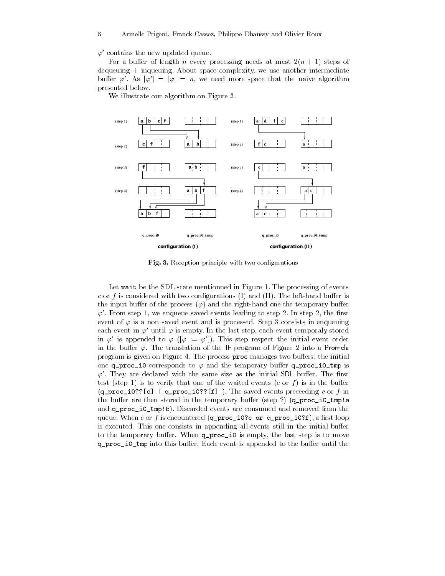#### $\varphi'$  contains the new updated queue.

For a buffer of length n every processing needs at most  $2(n + 1)$  steps of dequeuing <sup>+</sup> inqueuing. About space complexity, we use another intermediate buffer  $\varphi'$ . As  $|\varphi'| = |\varphi| = n$ , we need more space that the naive algorithm presented below.

We illustrate our algorithm on Figure 3.



Fig. 3. Reception principle with two configurations

Let wait be the SDL state mentionned in Figure 1. The processing of events c or f is considered with two configurations (I) and (II). The left-hand buffer is the input buffer of the process  $(\varphi)$  and the right-hand one the temporary buffer  $\varphi'$ . From step 1, we enqueue saved events leading to step 2. In step 2, the first event of  $\varphi$  is a non saved event and is processed. Step 3 consists in enqueuing each event in  $\varphi'$  until  $\varphi$  is empty. In the last step, each event temporaly stored in  $\varphi'$  is appended to  $\varphi$  ( $[\varphi := \varphi']$ ). This step respect the initial event order in the buffer  $\varphi$ . The translation of the IF program of Figure 2 into a Promela program is given on Figure 4. The process proc manages two buffers: the initial one q\_proc\_i0 corresponds to  $\varphi$  and the temporary buffer q\_proc\_i0\_tmp is  $\varphi'$ . They are declared with the same size as the initial SDL buffer. The first test (step 1) is to verify that one of the waited events  $(c \text{ or } f)$  is in the buffer  $(q_{\texttt{proc}_i0?}[c]| | q_{\texttt{proc}_i0?}[f] )$ . The saved events preceeding c or f in the buffer are then stored in the temporary buffer (step 2)  $(q_{\texttt{proc}_i0_{\texttt{tmp}}}.$ and q\_proc\_i0\_tmp!b). Discarded events are consumed and removed from the queue. When c or f is encountered  $(q_\text{proc}_\text{10?c}$  or  $q_\text{proc}_\text{10?f})$ , a first loop is executed. This one consists in appending all events still in the initial buffer to the temporary buffer. When q\_proc\_i0 is empty, the last step is to move q\_proc\_i0\_tmp into this buffer. Each event is appended to the buffer until the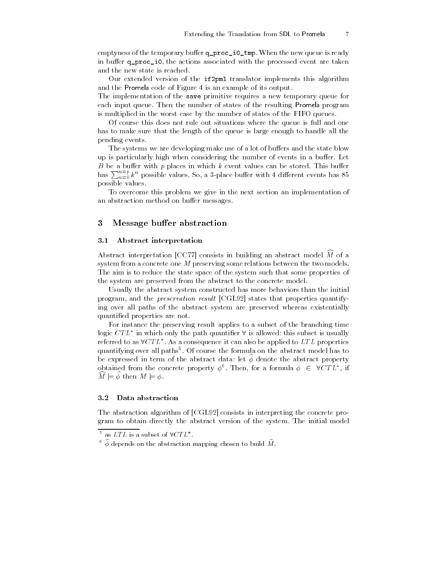emptyness of the temporary buffer  $q\_proc\_io\_tmp$ . When the new queue is ready in buffer q\_proc\_i0, the actions associated with the processed event are taken and the new state is reached.

Our extended version of the if2pml translator implements this algorithm and the Promela code of Figure 4 is an example of its output.

The implementation of the save primitive requires a new temporary queue for each input queue. Then the number of states of the resulting Promela program is multiplied in the worst case by the number of states of the FIFO queues.

Of course this does not rule out situations where the queue is full and one has to make sure that the length of the queue is large enough to handle all the pending events.

The systems we are developing make use of a lot of buffers and the state blow up is particularly high when considering the number of events in a buffer. Let B be a buffer with  $p$  places in which  $k$  event values can be stored. This buffer has  $\sum_{n=0}^{n=p} k^n$  possible values. So, a 3-place buffer with 4 different events has 85 possible values.

To overcome this problem we give in the next section an implementation of an abstraction method on buffer messages.

## 3 Message buffer abstraction

### 3.1 Abstract interpretation

Abstract interpretation [CC77] consists in building an abstract model  $\widehat{M}$  of a system from a concrete one  $M$  preserving some relations between the two models. The aim is to reduce the state space of the system such that some properties of the system are preserved from the abstract to the concrete model.

Usually the abstract system constructed has more behaviors than the initial program, and the preservation result [CGL92] states that properties quantifying over all paths of the abstract system are preserved whereas existentially quantified properties are not.

For instance the preserving result applies to a subset of the branching time logic  $CTL^*$  in which only the path quantifier  $\forall$  is allowed: this subset is usually referred to as  $\forall CTL^*$ . As a consequence it can also be applied to  $LTL$  properties quantifying over all paths5 . Of course the formula on the abstract model has to be expressed in term of the abstract data: let  $\phi$  denote the abstract property obtained from the concrete property  $\phi^6$ . Then, for a formula  $\phi \in \forall CTL^*$ , if  $M \models \phi$  then  $M \models \phi$ .

#### Data abstraction  $3.2$

The abstraction algorithm of [CGL92] consists in interpreting the concrete program to obtain directly the abstract version of the system. The initial model

 $\overline{\phantom{a}}$  as  $L1L$  is a subset of  $VUL$  .

 $\tilde{\ }$   $\phi$  depends on the abstraction mapping chosen to build  $M$  .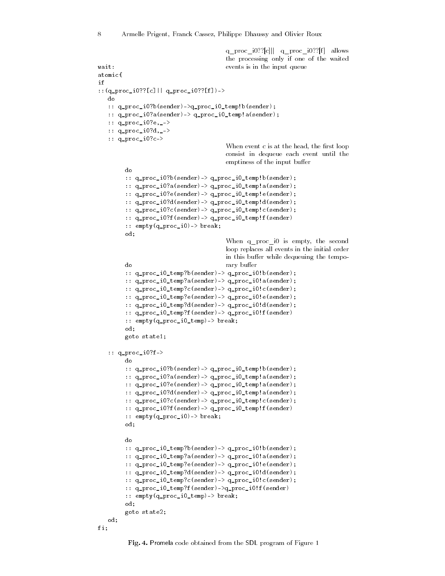```
q_proc_i0??[c]|| q_proc_i0??[f] allows
                                                   the processing only if one of the waited
wait:
                                                   events is in the input queue
atomic{
if
::(q_proc_i0??[c]|| q_proc_i0??[f])->
   do
   :: q_proc_i0?b(sender)->q_proc_i0_temp!b(sender);
    :: q_proc_i0?a(sender)-> q_proc_i0_temp!a(sender);
   :: q_proc_i0?e,_->
   :: q_proc_i0?d,_->
    :: q_proc_i0?c->
                                                   When event c is at the head, the first loop
                                                   consist in dequeue each event until the
                                                   emptiness of the input buffer
          do
          :: q_proc_i0?b(sender)-> q_proc_i0_temp!b(sender);
           :: q_proc_i0?a(sender)-> q_proc_i0_temp!a(sender);
           :: q_proc_i0?e(sender)-> q_proc_i0_temp!e(sender);
           :: q_proc_i0?d(sender)-> q_proc_i0_temp!d(sender);
           :: q_proc_i0?c(sender)-> q_proc_i0_temp!c(sender);
           :: q_proc_i0?f(sender)-> q_proc_i0_temp!f(sender)
           :: empty(q_proc_i0)-> break;
           od;
                                                   When q proc i0 is empty, the second
                                                   loop replaces all events in the initial order
                                                   in this buffer while dequeuing the tempo-
                                                   rary buffer
          do
          :: q_proc_i0_temp?b(sender)-> q_proc_i0!b(sender);
           :: q_proc_i0_temp?a(sender)-> q_proc_i0!a(sender);
           :: q\_proc\_i0\_temp?c (sender)-> q\_proc\_i0!c (sender);
           :: q_proc_i0_temp?e(sender)-> q_proc_i0!e(sender);
           :: q_proc_i0_temp?d(sender)-> q_proc_i0!d(sender);
           :: q_proc_i0_temp?f(sender)-> q_proc_i0!f(sender)
          :: empty(q_proc_i0_temp)-> break;
          od:
           od; and the contract of the contract of the contract of the contract of the contract of the contract of the contract of the contract of the contract of the contract of the contract of the contract of the contract of the co
          goto state1;
    :: q_proc_i0?f->
           :: q_proc_i0?b(sender)-> q_proc_i0_temp!b(sender);
           :: q_proc_i0?a(sender)-> q_proc_i0_temp!a(sender);
           :: q_proc_i0?e(sender)-> q_proc_i0_temp!a(sender);
           :: q_proc_i0?d(sender)-> q_proc_i0_temp!a(sender);
           :: q_proc_i0?c(sender)-> q_proc_i0_temp!c(sender);
           :: q_proc_i0?f(sender)-> q_proc_i0_temp!f(sender)
           :: empty(q_proc_i0)-> break;
          od;
          do
           :: q_proc_i0_temp?b(sender)-> q_proc_i0!b(sender);
           :: q_proc_i0_temp?a(sender)-> q_proc_i0!a(sender);
           :: q_proc_i0_temp?e(sender)-> q_proc_i0!e(sender);
           :: q_proc_i0_temp?d(sender)-> q_proc_i0!d(sender);
           :: q_proc_i0_temp?c(sender)-> q_proc_i0!c(sender);
           :: q_proc_i0_temp?f(sender)->q_proc_i0!f(sender)
           :: empty(q_proc_i0_temp)-> break;
           od; and the contract of the contract of the contract of the contract of the contract of the contract of the contract of the contract of the contract of the contract of the contract of the contract of the contract of the co
          goto state2;
    od; and the contract of the contract of the contract of the contract of the contract of the contract of the contract of the contract of the contract of the contract of the contract of the contract of the contract of the co
```

```
fi;
```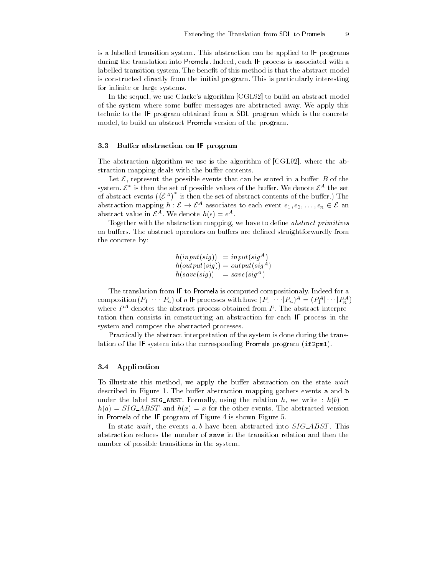is a labelled transition system. This abstraction can be applied to IF programs during the translation into Promela. Indeed, each IF process is associated with a labelled transition system. The benefit of this method is that the abstract model is constructed directly from the initial program. This is particularly interesting for infinite or large systems.

In the sequel, we use Clarke's algorithm [CGL92] to build an abstract model of the system where some buffer messages are abstracted away. We apply this technic to the IF program obtained from a SDL program which is the concrete model, to build an abstract Promela version of the program.

#### 3.3 Buffer abstraction on IF program

The abstraction algorithm we use is the algorithm of [CGL92], where the abstraction mapping deals with the buffer contents.

Let  $\mathcal{E}$ , represent the possible events that can be stored in a buffer  $B$  of the system.  $\mathcal{E}^*$  is then the set of possible values of the buffer. We denote  $\mathcal{E}^A$  the set of abstract events  $({\mathcal{E}}^A)^*$  is then the set of abstract contents of the buffer.) The abstraction mapping  $h: \mathcal{E} \to \mathcal{E}^A$  associates to each event  $e_1, e_2, \ldots, e_n \in \mathcal{E}$  an abstract value in  $\mathcal{E}^A$ . We denote  $h(e) = e^A$ .

Together with the abstraction mapping, we have to define *abstract primitives* on buffers. The abstract operators on buffers are defined straightforwardly from the concrete by:

> $h(input(sign)) = input(sign^{A})$ )  $n(oup u(su)) = oup u(su^{-1})$  $h(save(siq)) = susve(siq^{-1})$

The translation from IF to Promela is computed compositionaly. Indeed for a composition  $(P_1|\cdots|P_n)$  of n IF processes with have  $(P_1|\cdots|P_n)^A = (P_1^A|\cdots|P_n^A)$ where  $P$  are denotes the abstract process obtained from  $P$ . The abstract interpretation then consists in constructing an abstraction for each IF process in the system and compose the abstracted processes.

Practically the abstract interpretation of the system is done during the translation of the IF system into the corresponding Promela program (if2pml).

### 3.4 Application

To illustrate this method, we apply the buffer abstraction on the state wait described in Figure 1. The buffer abstraction mapping gathers events a and b under the label SIG\_ABST. Formally, using the relation h, we write :  $h(b)$  =  $h(a) = SIG\_ABST$  and  $h(x) = x$  for the other events. The abstracted version in Promela of the IF program of Figure 4 is shown Figure 5.

In state wait, the events  $a, b$  have been abstracted into  $SIG\_ABST$ . This abstraction reduces the number of save in the transition relation and then the number of possible transitions in the system.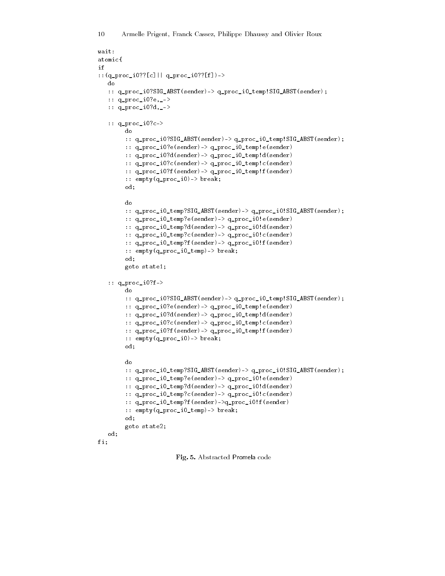```
wait:
atomic{
if
::(q_proc_i0??[c]|| q_proc_i0??[f])->
    do
    :: q_proc_i0?SIG_ABST(sender)-> q_proc_i0_temp!SIG_ABST(sender);
    :: q_proc_i0?e,_->
    :: q_proc_i0?d,_->
    :: q_proc_i0?c->
           do
           :: q_proc_i0?SIG_ABST(sender)-> q_proc_i0_temp!SIG_ABST(sender);
           :: q_proc_i0?e(sender)-> q_proc_i0_temp!e(sender)
           :: q_proc_i0?d(sender)-> q_proc_i0_temp!d(sender)
           :: q_proc_i0?c(sender)-> q_proc_i0_temp!c(sender)
           :: q_proc_i0?f(sender)-> q_proc_i0_temp!f(sender)
           :: empty(q_proc_i0)-> break;
           od;
           do
           :: q_proc_i0_temp?SIG_ABST(sender)-> q_proc_i0!SIG_ABST(sender);
           :: q_proc_i0_temp?e(sender)-> q_proc_i0!e(sender)
           :: q_proc_i0_temp?d(sender)-> q_proc_i0!d(sender)
           :: q_proc_i0_temp?c(sender)-> q_proc_i0!c(sender)
           :: q_proc_i0_temp?f(sender)-> q_proc_i0!f(sender)
           :: empty(q_proc_i0_temp)-> break;
           od:
            od and the state of the state of the state of the state of the state of the state of the state of the state of
           goto state1;
    :: q_proc_i0?f->
           d<sub>0</sub>:: q_proc_i0?SIG_ABST(sender)-> q_proc_i0_temp!SIG_ABST(sender);
           :: q_proc_i0?e(sender)-> q_proc_i0_temp!e(sender)
           :: q_proc_i0?d(sender)-> q_proc_i0_temp!d(sender)
           :: q_proc_i0?c(sender)-> q_proc_i0_temp!c(sender)
           :: q_proc_i0?f(sender)-> q_proc_i0_temp!f(sender)
           \cdots empty (q\_proc\_i0) \rightarrow break;od; and the contract of the contract of the contract of the contract of the contract of the contract of the contract of the contract of the contract of the contract of the contract of the contract of the contract of the co
           do
           :: q_proc_i0_temp?SIG_ABST(sender)-> q_proc_i0!SIG_ABST(sender);
           :: q_proc_i0_temp?e(sender)-> q_proc_i0!e(sender)
           :: q_proc_i0_temp?d(sender)-> q_proc_i0!d(sender)
           :: q_proc_i0_temp?c(sender)-> q_proc_i0!c(sender)
           :: q_proc_i0_temp?f(sender)->q_proc_i0!f(sender)
           :: empty(q_proc_i0_temp)-> break;
           od;
           goto state2;
    od;
fi:
figures the contract of the contract of the contract of the contract of the contract of the contract of the contract of the contract of the contract of the contract of the contract of the contract of the contract of the co
```
Fig. 5. Abstracted Promela code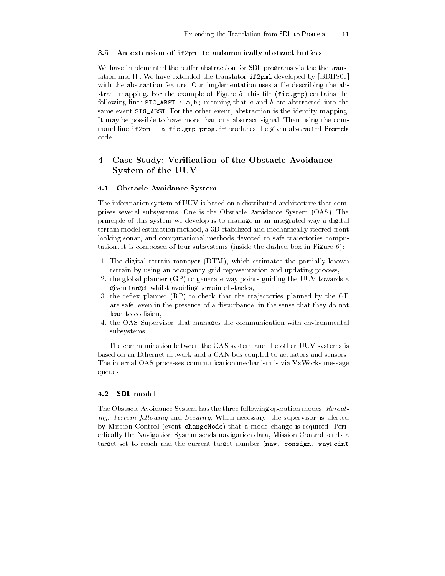### 3.5 An extension of if2pml to automatically abstract buffers

We have implemented the buffer abstraction for SDL programs via the the translation into IF. We have extended the translator if2pml developed by [BDHS00] with the abstraction feature. Our implementation uses a file describing the abstract mapping. For the example of Figure 5, this file  $(fic.grp)$  contains the following line:  $SIG\_ABST$ : a,b; meaning that a and b are abstracted into the same event SIG\_ABST. For the other event, abstraction is the identity mapping. It may be possible to have more than one abstract signal. Then using the command line if2pml -a fic.grp prog.if produces the given abstracted Promela code.

# 4 Case Study: Verification of the Obstacle Avoidance System of the UUV

### 4.1 Obstacle Avoidance System

The information system of UUV is based on a distributed architecture that comprises several subsystems. One is the Obstacle Avoidance System (OAS). The principle of this system we develop is to manage in an integrated way a digital terrain model estimation method, a 3D stabilized and mechanically steered front looking sonar, and computational methods devoted to safe trajectories computation. It is composed of four subsystems (inside the dashed box in Figure 6):

- 1. The digital terrain manager (DTM), which estimates the partially known terrain by using an occupancy grid representation and updating process,
- 2. the global planner (GP) to generate way points guiding the UUV towards a given target whilst avoiding terrain obstacles,
- 3. the reflex planner (RP) to check that the trajectories planned by the GP are safe, even in the presence of a disturbance, in the sense that they do not lead to collision,
- 4. the OAS Supervisor that manages the communication with environmental subsystems.

The communication between the OAS system and the other UUV systems is based on an Ethernet network and a CAN bus coupled to actuators and sensors. The internal OAS processes communication mechanism is via VxWorks message queues.

#### 4.2 SDL model

The Obstacle Avoidance System has the three following operation modes: Rerouting, Terrain following and Security. When necessary, the supervisor is alerted by Mission Control (event changeMode) that a mode change is required. Periodically the Navigation System sends navigation data, Mission Control sends a target set to reach and the current target number (nav, consign, wayPoint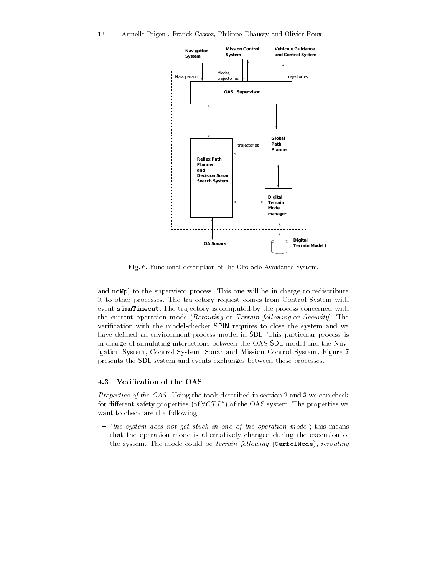

Fig. 6. Functional description of the Obstacle Avoidance System.

and noWp) to the supervisor process. This one will be in charge to redistribute it to other processes. The trajectory request comes from Control System with event simuTimeout. The trajectory is computed by the process concerned with the current operation mode (Rerouting or Terrain following or Security). The verification with the model-checker SPIN requires to close the system and we have defined an environment process model in SDL. This particular process is in charge of simulating interactions between the OAS SDL model and the Navigation System, Control System, Sonar and Mission Control System. Figure 7 presents the SDL system and events exchanges between these processes.

#### Verification of the OAS 4.3

Properties of the OAS. Using the tools described in section 2 and 3 we can check for different safety properties (of  $\forall CTL^*$ ) of the OAS system. The properties we want to check are the following:

 $t$  - "the system does not get stuck in one of the operation mode"; this means that the operation mode is alternatively changed during the execution of the system. The mode could be terrain following (terfolMode), rerouting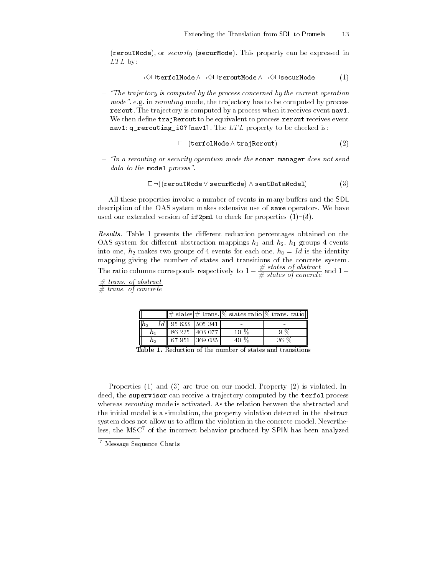(reroutMode), or security (securMode). This property can be expressed in  $LTL$  by:

$$
\neg \Diamond \Box \texttt{terfollowde} \land \neg \Diamond \Box \texttt{reroutMode} \land \neg \Diamond \Box \texttt{securMode} \qquad \qquad (1)
$$

 $-$  "The trajectory is computed by the process concerned by the current operation  $mode$ , e.g. in rerouting mode, the trajectory has to be computed by process rerout. The trajectory is computed by a process when it receives event nav1. We then define trajRerout to be equivalent to process rerout receives event nav1:  $q$ \_rerouting\_i0?[nav1]. The  $LTL$  property to be checked is:

$$
\Box \neg(\mathtt{terfollowed} \land \mathtt{trajectory}) \tag{2}
$$

 $-$  "In a rerouting or security operation mode the sonar manager does not send  $data\ to\ the\ model\ process".$ 

$$
\Box \neg ((\mathtt{revoutMode} \vee \mathtt{securMode}) \wedge \mathtt{sentDataModel}) \tag{3}
$$

All these properties involve a number of events in many buffers and the SDL description of the OAS system makes extensive use of save operators. We have used our extended version of if2pml to check for properties  $(1)-(3)$ .

Results. Table 1 presents the different reduction percentages obtained on the OAS system for different abstraction mappings  $h_1$  and  $h_2$ .  $h_1$  groups 4 events into one,  $h_2$  makes two groups of 4 events for each one.  $h_0 = Id$  is the identity mapping giving the number of states and transitions of the concrete system. The ratio columns corresponds respectively to  $1-\frac{\pi}{\#}$  states of concrete and  $1-\frac{\pi}{\#}$  $#$  trans. of abstract

 $#$  trans. of concrete

|    |                                 |                | $\frac{1}{2}$ states $\#$ trans. $\%$ states ratio $\%$ trans. ratio |
|----|---------------------------------|----------------|----------------------------------------------------------------------|
|    | $  h_0 = Id  $ 95 633   505 341 |                |                                                                      |
|    |                                 | 86 225 403 077 |                                                                      |
| n2 | 67 951 1369 035                 |                | 36 Z                                                                 |

**Table 1.** Reduction of the number of states and transitions

Properties (1) and (3) are true on our model. Property (2) is violated. Indeed, the supervisor can receive a trajectory computed by the terfol process whereas rerouting mode is activated. As the relation between the abstracted and the initial model is a simulation, the property violation detected in the abstract system does not allow us to affirm the violation in the concrete model. Nevertheless, the MSC<sup>7</sup> of the incorrect behavior produced by SPIN has been analyzed

<sup>7</sup> Message Sequence Charts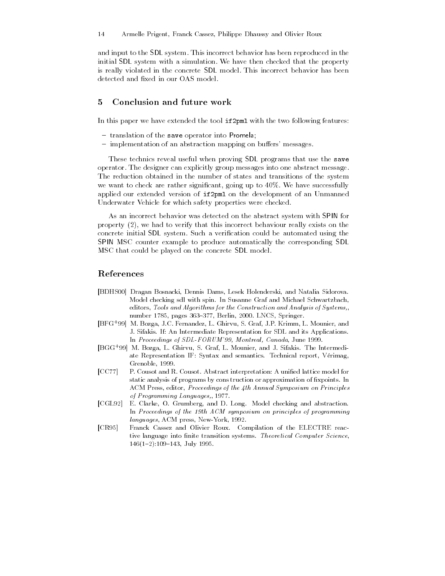and input to the SDL system. This incorrect behavior has been reproduced in the initial SDL system with a simulation. We have then checked that the property is really violated in the concrete SDL model. This incorrect behavior has been detected and fixed in our OAS model.

#### Conclusion and future work  $\overline{5}$

In this paper we have extended the tool if2pml with the two following features:

- translation of the save operator into Promela;
- implementation of an abstraction mapping on buffers' messages.

These technics reveal useful when proving SDL programs that use the save operator. The designer can explicitly group messages into one abstract message. The reduction obtained in the number of states and transitions of the system we want to check are rather significant, going up to 40%. We have successfully applied our extended version of if2pml on the development of an Unmanned Underwater Vehicle for which safety properties were checked.

As an incorrect behavior was detected on the abstract system with SPIN for property (2), we had to verify that this incorrect behaviour really exists on the concrete initial SDL system. Such a verification could be automated using the SPIN MSC counter example to produce automatically the corresponding SDL MSC that could be played on the concrete SDL model.

## References

- [BDHS00] Dragan Bosnacki, Dennis Dams, Lesek Holenderski, and Natalia Sidorova. Model checking sdl with spin. In Susanne Graf and Michael Schwartzbach, editors, Tools and Algorithms for the Construction and Analysis of Systems,, number 1785, pages 363-377, Berlin, 2000. LNCS, Springer.
- [BFG+ 99] M. Bozga, J.C. Fernandez, L. Ghirvu, S. Graf, J.P. Krimm, L. Mounier, and J. Sifakis. If: An Intermediate Representation for SDL and its Applications. In Proceedings of SDL-FORUM'99, Montreal, Canada, June 1999.
- [BGG+ 99] M. Bozga, L. Ghirvu, S. Graf, L. Mounier, and J. Sifakis. The Intermediate Representation IF: Syntax and semantics. Technical report, Vérimag, Grenoble, 1999.
- [CC77] P. Cousot and R. Cousot. Abstract interpretation: A unied lattice model for static analysis of programs by cons truction or approximation of fixpoints. In ACM Press, editor, Proceedings of the 4th Annual Symposium on Principles of Programming Languages,, 1977.
- [CGL92] E. Clarke, O. Grumberg, and D. Long. Model checking and abstraction. In Proceedings of the 19th ACM symposium on principles of programming languages, ACM press, New-York, 1992.
- [CR95] Franck Cassez and Olivier Roux. Compilation of the ELECTRE reactive language into finite transition systems. Theoretical Computer Science,  $146(1-2):109-143$ , July 1995.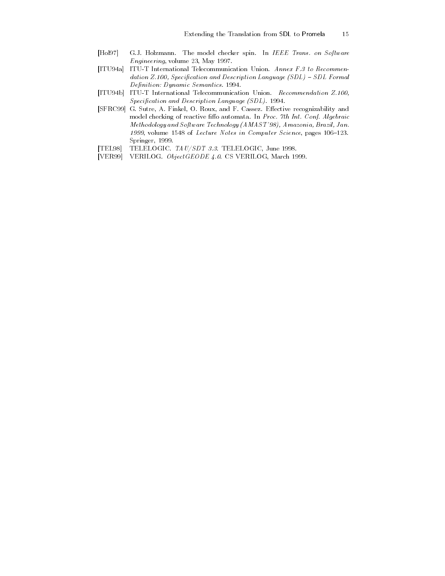- [Hol97] G.J. Holzmann. The model checker spin. In IEEE Trans. on Software Engineering, volume 23, May 1997.
- [ITU94a] ITU-T International Telecommunication Union. Annex F.3 to Recommendation Z.100, Specification and Description Language  $(SDL)$  - SDL Formal Definition: Dynamic Semantics. 1994.
- [ITU94b] ITU-T International Telecommunication Union. Recommendation Z.100,  $Specification$  and Description Language (SDL). 1994.
- [SFRC99] G. Sutre, A. Finkel, O. Roux, and F. Cassez. Effective recognizability and model checking of reactive fiffo automata. In Proc. 7th Int. Conf. Algebraic Methodology and Software Technology (AMAST'98), Amazonia, Brazil, Jan. 1999, volume 1548 of Lecture Notes in Computer Science, pages 106-123. Springer, 1999.
- [TEL98] TELELOGIC. TAU/SDT 3.3. TELELOGIC, June 1998.
- [VER99] VERILOG. ObjectGEODE 4.0. CS VERILOG, March 1999.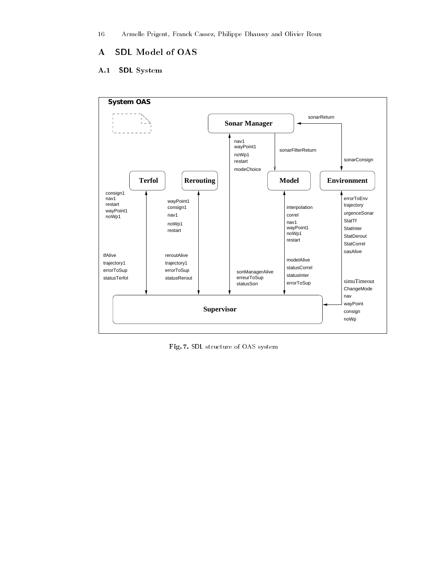16 Armelle Prigent, Franck Cassez, Philippe Dhaussy and Olivier Roux

# A SDL Model of OAS

# A.1 SDL System



Fig. 7. SDL structure of OAS system